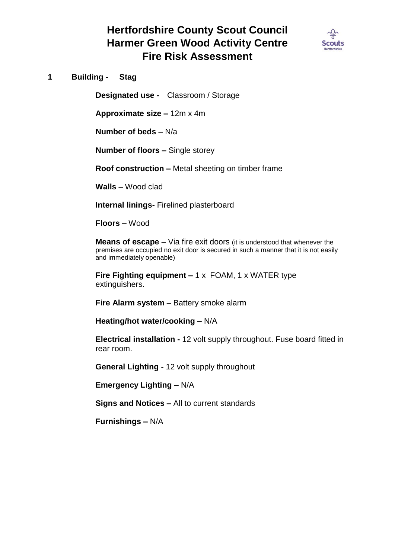

**1 Building - Stag**

**Designated use -** Classroom / Storage

**Approximate size –** 12m x 4m

**Number of beds –** N/a

**Number of floors –** Single storey

**Roof construction –** Metal sheeting on timber frame

**Walls –** Wood clad

**Internal linings-** Firelined plasterboard

**Floors –** Wood

**Means of escape –** Via fire exit doors (it is understood that whenever the premises are occupied no exit door is secured in such a manner that it is not easily and immediately openable)

**Fire Fighting equipment –** 1 x FOAM, 1 x WATER type extinguishers.

**Fire Alarm system –** Battery smoke alarm

**Heating/hot water/cooking –** N/A

**Electrical installation -** 12 volt supply throughout. Fuse board fitted in rear room.

**General Lighting -** 12 volt supply throughout

**Emergency Lighting –** N/A

**Signs and Notices –** All to current standards

**Furnishings –** N/A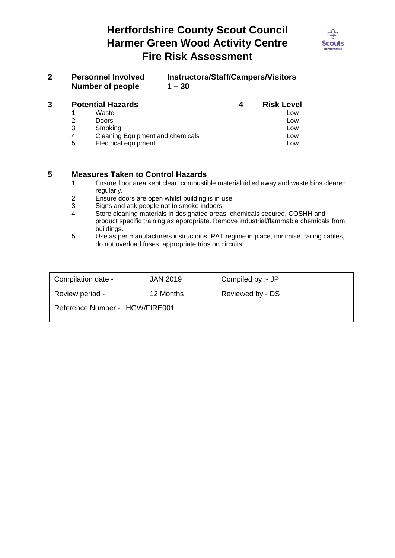

| <b>Personnel Involved</b> | <b>Instructors/Staff/Campers/Visitors</b> |
|---------------------------|-------------------------------------------|
| Number of people          | $1 - 30$                                  |

| 3 | <b>Potential Hazards</b><br>4 |                                         | <b>Risk Level</b> |
|---|-------------------------------|-----------------------------------------|-------------------|
|   |                               | Waste                                   | Low               |
|   |                               | Doors                                   | Low               |
|   | 3                             | Smoking                                 | Low               |
|   | 4                             | <b>Cleaning Equipment and chemicals</b> | Low               |
|   | 5                             | <b>Electrical equipment</b>             | Low               |

#### **5 Measures Taken to Control Hazards**

- 1 Ensure floor area kept clear, combustible material tidied away and waste bins cleared regularly.
- 2 Ensure doors are open whilst building is in use.<br>3 Signs and ask people not to smoke indoors.
- 3 Signs and ask people not to smoke indoors.<br>4 Store cleaning materials in designated areas
- Store cleaning materials in designated areas, chemicals secured, COSHH and product specific training as appropriate. Remove industrial/flammable chemicals from buildings.
- 5 Use as per manufacturers instructions, PAT regime in place, minimise trailing cables, do not overload fuses, appropriate trips on circuits

| Compilation date -             | <b>JAN 2019</b> | Compiled by :- JP |  |
|--------------------------------|-----------------|-------------------|--|
| Review period -                | 12 Months       | Reviewed by - DS  |  |
| Reference Number - HGW/FIRE001 |                 |                   |  |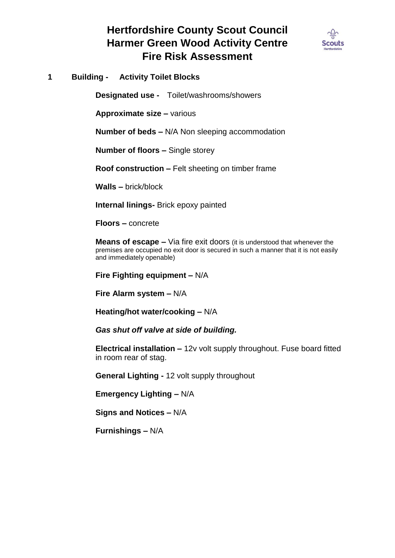

**1 Building - Activity Toilet Blocks**

**Designated use -** Toilet/washrooms/showers

**Approximate size –** various

**Number of beds –** N/A Non sleeping accommodation

**Number of floors –** Single storey

**Roof construction –** Felt sheeting on timber frame

**Walls –** brick/block

**Internal linings-** Brick epoxy painted

**Floors –** concrete

**Means of escape –** Via fire exit doors (it is understood that whenever the premises are occupied no exit door is secured in such a manner that it is not easily and immediately openable)

**Fire Fighting equipment –** N/A

**Fire Alarm system –** N/A

**Heating/hot water/cooking –** N/A

*Gas shut off valve at side of building.*

**Electrical installation –** 12v volt supply throughout. Fuse board fitted in room rear of stag.

**General Lighting -** 12 volt supply throughout

**Emergency Lighting –** N/A

**Signs and Notices –** N/A

**Furnishings –** N/A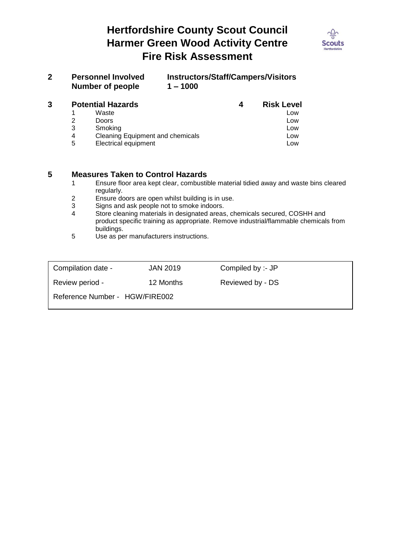

| <b>Personnel Involved</b> | <b>Instructors/Staff/Campers/Visitors</b> |
|---------------------------|-------------------------------------------|
| Number of people          | $1 - 1000$                                |

| 3 |   | <b>Potential Hazards</b><br>4           |  | <b>Risk Level</b> |
|---|---|-----------------------------------------|--|-------------------|
|   |   | Waste                                   |  | Low               |
|   |   | <b>Doors</b>                            |  | Low               |
|   | 3 | Smoking                                 |  | Low               |
|   | 4 | <b>Cleaning Equipment and chemicals</b> |  | Low               |
|   | 5 | <b>Electrical equipment</b>             |  | Low               |

#### **5 Measures Taken to Control Hazards**

- 1 Ensure floor area kept clear, combustible material tidied away and waste bins cleared regularly.
- 2 Ensure doors are open whilst building is in use.<br>3 Signs and ask people not to smoke indoors.
- 3 Signs and ask people not to smoke indoors.<br>4 Store cleaning materials in designated areas
- Store cleaning materials in designated areas, chemicals secured, COSHH and product specific training as appropriate. Remove industrial/flammable chemicals from buildings.
- 5 Use as per manufacturers instructions.

| Compilation date -             | <b>JAN 2019</b> | Compiled by :- JP |  |
|--------------------------------|-----------------|-------------------|--|
| Review period -                | 12 Months       | Reviewed by - DS  |  |
| Reference Number - HGW/FIRE002 |                 |                   |  |